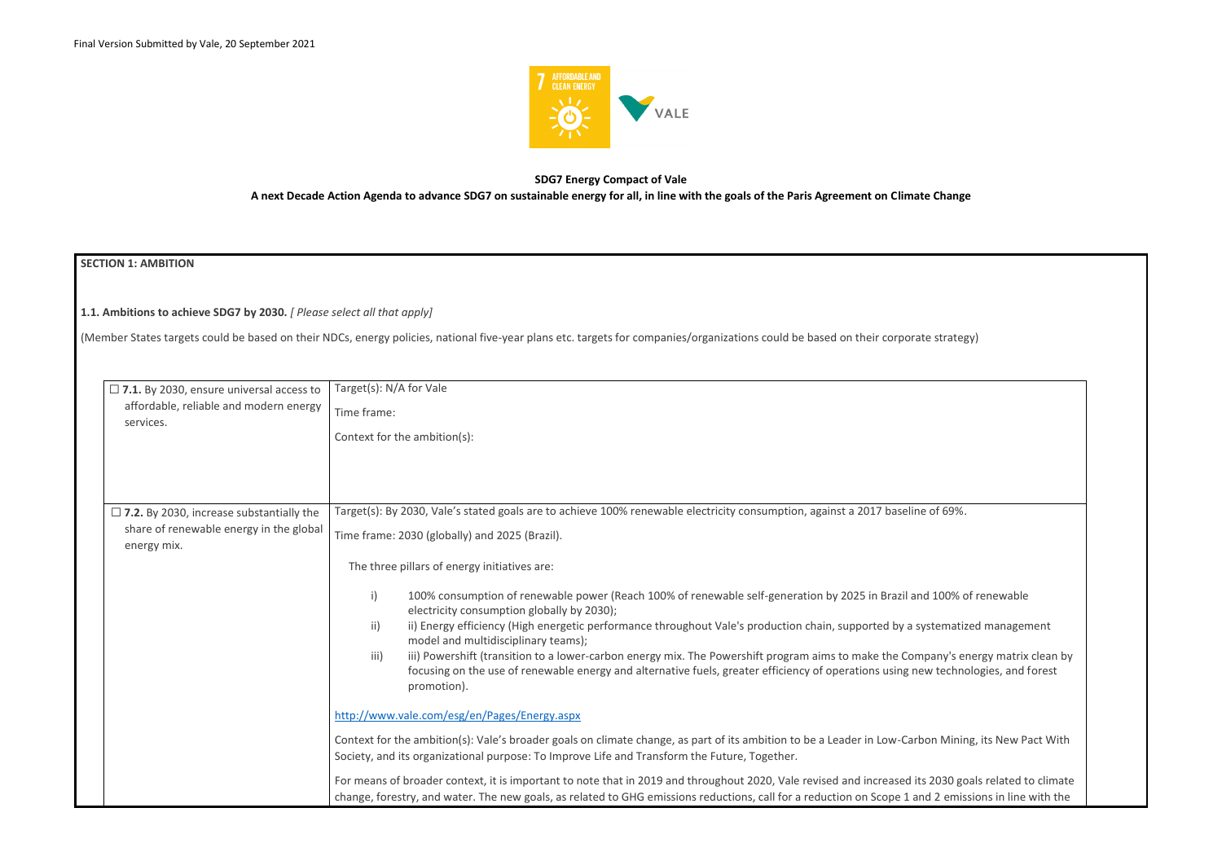

# **SDG7 Energy Compact of Vale A next Decade Action Agenda to advance SDG7 on sustainable energy for all, in line with the goals of the Paris Agreement on Climate Change**

# **SECTION 1: AMBITION**

| $\Box$ 7.1. By 2030, ensure universal access to        | Target(s): N/A for Vale                                                                                                                                                                                                                                                                                      |
|--------------------------------------------------------|--------------------------------------------------------------------------------------------------------------------------------------------------------------------------------------------------------------------------------------------------------------------------------------------------------------|
| affordable, reliable and modern energy<br>services.    | Time frame:                                                                                                                                                                                                                                                                                                  |
|                                                        | Context for the ambition(s):                                                                                                                                                                                                                                                                                 |
|                                                        |                                                                                                                                                                                                                                                                                                              |
|                                                        |                                                                                                                                                                                                                                                                                                              |
| $\Box$ 7.2. By 2030, increase substantially the        | Target(s): By 2030, Vale's stated goals are to achieve 100% renewable electricity consumption, against a 2017 baseline of 69%.                                                                                                                                                                               |
| share of renewable energy in the global<br>energy mix. | Time frame: 2030 (globally) and 2025 (Brazil).                                                                                                                                                                                                                                                               |
|                                                        | The three pillars of energy initiatives are:                                                                                                                                                                                                                                                                 |
|                                                        | $\mathsf{i}$<br>100% consumption of renewable power (Reach 100% of renewable self-generation by 2025 in Brazil and 100% of renewable<br>electricity consumption globally by 2030);                                                                                                                           |
|                                                        | $\mathsf{ii}$<br>ii) Energy efficiency (High energetic performance throughout Vale's production chain, supported by a systematized management<br>model and multidisciplinary teams);                                                                                                                         |
|                                                        | iii) Powershift (transition to a lower-carbon energy mix. The Powershift program aims to make the Company's energy matrix clean by<br>iii)<br>focusing on the use of renewable energy and alternative fuels, greater efficiency of operations using new technologies, and forest<br>promotion).              |
|                                                        | http://www.vale.com/esg/en/Pages/Energy.aspx                                                                                                                                                                                                                                                                 |
|                                                        | Context for the ambition(s): Vale's broader goals on climate change, as part of its ambition to be a Leader in Low-Carbon Mining, its New Pact With<br>Society, and its organizational purpose: To Improve Life and Transform the Future, Together.                                                          |
|                                                        | For means of broader context, it is important to note that in 2019 and throughout 2020, Vale revised and increased its 2030 goals related to climate<br>change, forestry, and water. The new goals, as related to GHG emissions reductions, call for a reduction on Scope 1 and 2 emissions in line with the |

| e strategy)                                                     |
|-----------------------------------------------------------------|
|                                                                 |
|                                                                 |
|                                                                 |
| of 69%.                                                         |
|                                                                 |
|                                                                 |
| d 100% of renewable                                             |
| stematized management                                           |
| pany's energy matrix clean by<br>w technologies, and forest     |
|                                                                 |
| on Mining, its New Pact With                                    |
| 2030 goals related to climate<br>d 2 emissions in line with the |

**1.1. Ambitions to achieve SDG7 by 2030.** *[ Please select all that apply]* 

(Member States targets could be based on their NDCs, energy policies, national five-year plans etc. targets for companies/organizations could be based on their corporate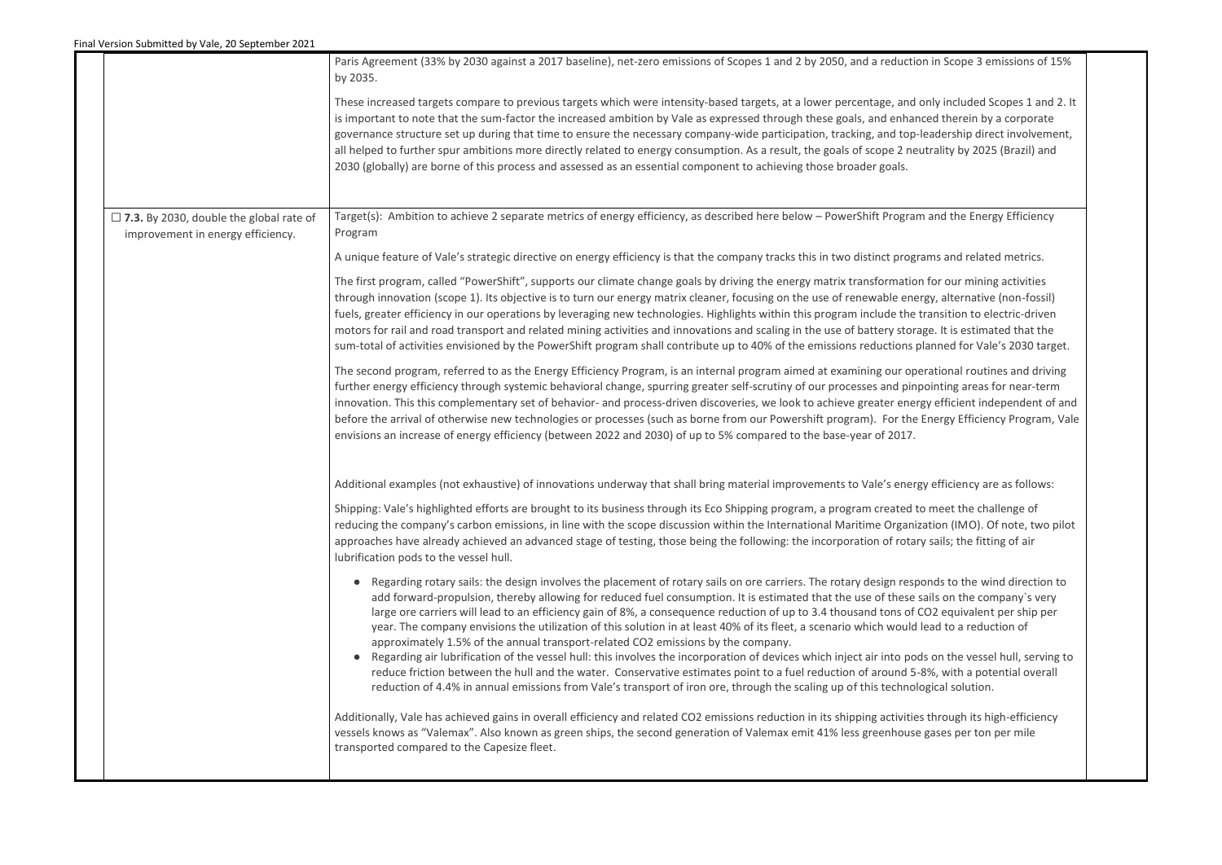|                                                | Paris Agreement (33% by 2030 against a 2017 baseline), net-zero emissions of Scopes 1 and 2 by 2050, and a reduction in Scope 3 emissions of 15%<br>by 2035.                                                                                                                                                                                                                                                                                                                                                                                                                                                                                                                                                                                                                                                                                                                                                                                                                                                                                                                                                                   |
|------------------------------------------------|--------------------------------------------------------------------------------------------------------------------------------------------------------------------------------------------------------------------------------------------------------------------------------------------------------------------------------------------------------------------------------------------------------------------------------------------------------------------------------------------------------------------------------------------------------------------------------------------------------------------------------------------------------------------------------------------------------------------------------------------------------------------------------------------------------------------------------------------------------------------------------------------------------------------------------------------------------------------------------------------------------------------------------------------------------------------------------------------------------------------------------|
|                                                | These increased targets compare to previous targets which were intensity-based targets, at a lower percentage, and only included Scopes 1 and 2. It<br>is important to note that the sum-factor the increased ambition by Vale as expressed through these goals, and enhanced therein by a corporate<br>governance structure set up during that time to ensure the necessary company-wide participation, tracking, and top-leadership direct involvement,<br>all helped to further spur ambitions more directly related to energy consumption. As a result, the goals of scope 2 neutrality by 2025 (Brazil) and<br>2030 (globally) are borne of this process and assessed as an essential component to achieving those broader goals.                                                                                                                                                                                                                                                                                                                                                                                         |
| $\Box$ 7.3. By 2030, double the global rate of | Target(s): Ambition to achieve 2 separate metrics of energy efficiency, as described here below - PowerShift Program and the Energy Efficiency                                                                                                                                                                                                                                                                                                                                                                                                                                                                                                                                                                                                                                                                                                                                                                                                                                                                                                                                                                                 |
| improvement in energy efficiency.              | Program                                                                                                                                                                                                                                                                                                                                                                                                                                                                                                                                                                                                                                                                                                                                                                                                                                                                                                                                                                                                                                                                                                                        |
|                                                | A unique feature of Vale's strategic directive on energy efficiency is that the company tracks this in two distinct programs and related metrics.                                                                                                                                                                                                                                                                                                                                                                                                                                                                                                                                                                                                                                                                                                                                                                                                                                                                                                                                                                              |
|                                                | The first program, called "PowerShift", supports our climate change goals by driving the energy matrix transformation for our mining activities<br>through innovation (scope 1). Its objective is to turn our energy matrix cleaner, focusing on the use of renewable energy, alternative (non-fossil)<br>fuels, greater efficiency in our operations by leveraging new technologies. Highlights within this program include the transition to electric-driven<br>motors for rail and road transport and related mining activities and innovations and scaling in the use of battery storage. It is estimated that the<br>sum-total of activities envisioned by the PowerShift program shall contribute up to 40% of the emissions reductions planned for Vale's 2030 target.                                                                                                                                                                                                                                                                                                                                                  |
|                                                | The second program, referred to as the Energy Efficiency Program, is an internal program aimed at examining our operational routines and driving<br>further energy efficiency through systemic behavioral change, spurring greater self-scrutiny of our processes and pinpointing areas for near-term<br>innovation. This this complementary set of behavior- and process-driven discoveries, we look to achieve greater energy efficient independent of and<br>before the arrival of otherwise new technologies or processes (such as borne from our Powershift program). For the Energy Efficiency Program, Vale<br>envisions an increase of energy efficiency (between 2022 and 2030) of up to 5% compared to the base-year of 2017.                                                                                                                                                                                                                                                                                                                                                                                        |
|                                                | Additional examples (not exhaustive) of innovations underway that shall bring material improvements to Vale's energy efficiency are as follows:                                                                                                                                                                                                                                                                                                                                                                                                                                                                                                                                                                                                                                                                                                                                                                                                                                                                                                                                                                                |
|                                                | Shipping: Vale's highlighted efforts are brought to its business through its Eco Shipping program, a program created to meet the challenge of<br>reducing the company's carbon emissions, in line with the scope discussion within the International Maritime Organization (IMO). Of note, two pilot<br>approaches have already achieved an advanced stage of testing, those being the following: the incorporation of rotary sails; the fitting of air<br>lubrification pods to the vessel hull.                                                                                                                                                                                                                                                                                                                                                                                                                                                                                                                                                                                                                              |
|                                                | Regarding rotary sails: the design involves the placement of rotary sails on ore carriers. The rotary design responds to the wind direction to<br>add forward-propulsion, thereby allowing for reduced fuel consumption. It is estimated that the use of these sails on the company's very<br>large ore carriers will lead to an efficiency gain of 8%, a consequence reduction of up to 3.4 thousand tons of CO2 equivalent per ship per<br>year. The company envisions the utilization of this solution in at least 40% of its fleet, a scenario which would lead to a reduction of<br>approximately 1.5% of the annual transport-related CO2 emissions by the company.<br>Regarding air lubrification of the vessel hull: this involves the incorporation of devices which inject air into pods on the vessel hull, serving to<br>$\bullet$<br>reduce friction between the hull and the water. Conservative estimates point to a fuel reduction of around 5-8%, with a potential overall<br>reduction of 4.4% in annual emissions from Vale's transport of iron ore, through the scaling up of this technological solution. |
|                                                | Additionally, Vale has achieved gains in overall efficiency and related CO2 emissions reduction in its shipping activities through its high-efficiency<br>vessels knows as "Valemax". Also known as green ships, the second generation of Valemax emit 41% less greenhouse gases per ton per mile<br>transported compared to the Capesize fleet.                                                                                                                                                                                                                                                                                                                                                                                                                                                                                                                                                                                                                                                                                                                                                                               |
|                                                |                                                                                                                                                                                                                                                                                                                                                                                                                                                                                                                                                                                                                                                                                                                                                                                                                                                                                                                                                                                                                                                                                                                                |

| n in Scope 3 emissions of 15%                                                                                                                               |  |
|-------------------------------------------------------------------------------------------------------------------------------------------------------------|--|
| only included Scopes 1 and 2. It<br>ced therein by a corporate<br>eadership direct involvement,<br>itrality by 2025 (Brazil) and                            |  |
| and the Energy Efficiency                                                                                                                                   |  |
| ams and related metrics.                                                                                                                                    |  |
| for our mining activities<br>gy, alternative (non-fossil)<br>ransition to electric-driven<br>ge. It is estimated that the<br>lanned for Vale's 2030 target. |  |
| rational routines and driving<br>ointing areas for near-term<br>gy efficient independent of and<br>Energy Efficiency Program, Vale                          |  |
| y efficiency are as follows:                                                                                                                                |  |
| o meet the challenge of<br>ation (IMO). Of note, two pilot<br>y sails; the fitting of air                                                                   |  |
| onds to the wind direction to<br>ails on the company's very<br>O2 equivalent per ship per<br>ead to a reduction of                                          |  |
| s on the vessel hull, serving to<br>8%, with a potential overall<br>ogical solution.                                                                        |  |
| through its high-efficiency<br>gases per ton per mile                                                                                                       |  |
|                                                                                                                                                             |  |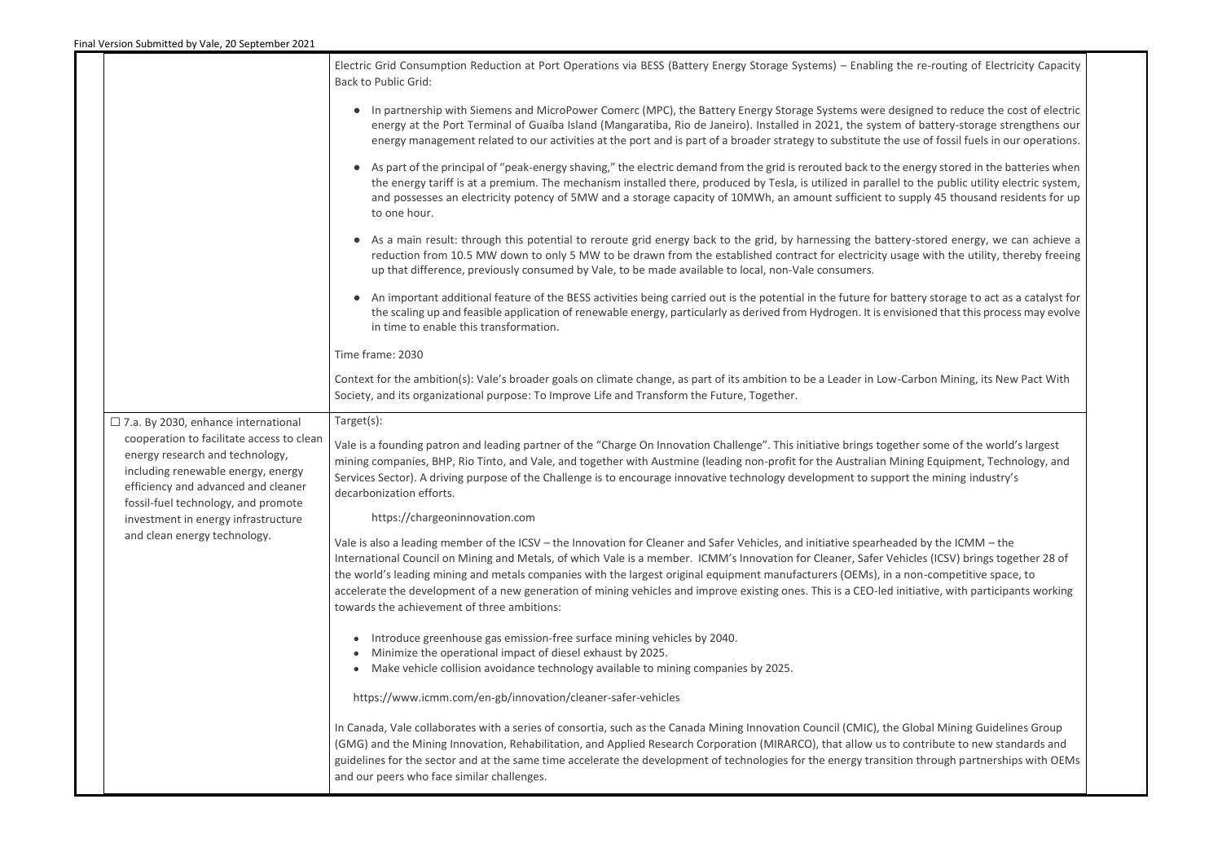|                                                                                                                                                                                                  | Electric Grid Consumption Reduction at Port Operations via BESS (Battery Energy Storage Systems) - Enabling the re-routing of Electricity Capacity<br><b>Back to Public Grid:</b>                                                                                                                                                                                                                                                                                                                                                                                                                                                               |
|--------------------------------------------------------------------------------------------------------------------------------------------------------------------------------------------------|-------------------------------------------------------------------------------------------------------------------------------------------------------------------------------------------------------------------------------------------------------------------------------------------------------------------------------------------------------------------------------------------------------------------------------------------------------------------------------------------------------------------------------------------------------------------------------------------------------------------------------------------------|
|                                                                                                                                                                                                  | • In partnership with Siemens and MicroPower Comerc (MPC), the Battery Energy Storage Systems were designed to reduce the cost of electric<br>energy at the Port Terminal of Guaíba Island (Mangaratiba, Rio de Janeiro). Installed in 2021, the system of battery-storage strengthens our<br>energy management related to our activities at the port and is part of a broader strategy to substitute the use of fossil fuels in our operations.                                                                                                                                                                                                |
|                                                                                                                                                                                                  | • As part of the principal of "peak-energy shaving," the electric demand from the grid is rerouted back to the energy stored in the batteries when<br>the energy tariff is at a premium. The mechanism installed there, produced by Tesla, is utilized in parallel to the public utility electric system,<br>and possesses an electricity potency of 5MW and a storage capacity of 10MWh, an amount sufficient to supply 45 thousand residents for up<br>to one hour.                                                                                                                                                                           |
|                                                                                                                                                                                                  | • As a main result: through this potential to reroute grid energy back to the grid, by harnessing the battery-stored energy, we can achieve a<br>reduction from 10.5 MW down to only 5 MW to be drawn from the established contract for electricity usage with the utility, thereby freeing<br>up that difference, previously consumed by Vale, to be made available to local, non-Vale consumers.                                                                                                                                                                                                                                              |
|                                                                                                                                                                                                  | • An important additional feature of the BESS activities being carried out is the potential in the future for battery storage to act as a catalyst for<br>the scaling up and feasible application of renewable energy, particularly as derived from Hydrogen. It is envisioned that this process may evolve<br>in time to enable this transformation.                                                                                                                                                                                                                                                                                           |
|                                                                                                                                                                                                  | Time frame: 2030                                                                                                                                                                                                                                                                                                                                                                                                                                                                                                                                                                                                                                |
|                                                                                                                                                                                                  | Context for the ambition(s): Vale's broader goals on climate change, as part of its ambition to be a Leader in Low-Carbon Mining, its New Pact With<br>Society, and its organizational purpose: To Improve Life and Transform the Future, Together.                                                                                                                                                                                                                                                                                                                                                                                             |
| $\Box$ 7.a. By 2030, enhance international                                                                                                                                                       | Target(s):                                                                                                                                                                                                                                                                                                                                                                                                                                                                                                                                                                                                                                      |
| cooperation to facilitate access to clean<br>energy research and technology,<br>including renewable energy, energy<br>efficiency and advanced and cleaner<br>fossil-fuel technology, and promote | Vale is a founding patron and leading partner of the "Charge On Innovation Challenge". This initiative brings together some of the world's largest<br>mining companies, BHP, Rio Tinto, and Vale, and together with Austmine (leading non-profit for the Australian Mining Equipment, Technology, and<br>Services Sector). A driving purpose of the Challenge is to encourage innovative technology development to support the mining industry's<br>decarbonization efforts.                                                                                                                                                                    |
| investment in energy infrastructure                                                                                                                                                              | https://chargeoninnovation.com                                                                                                                                                                                                                                                                                                                                                                                                                                                                                                                                                                                                                  |
| and clean energy technology.                                                                                                                                                                     | Vale is also a leading member of the ICSV – the Innovation for Cleaner and Safer Vehicles, and initiative spearheaded by the ICMM – the<br>International Council on Mining and Metals, of which Vale is a member. ICMM's Innovation for Cleaner, Safer Vehicles (ICSV) brings together 28 of<br>the world's leading mining and metals companies with the largest original equipment manufacturers (OEMs), in a non-competitive space, to<br>accelerate the development of a new generation of mining vehicles and improve existing ones. This is a CEO-led initiative, with participants working<br>towards the achievement of three ambitions: |
|                                                                                                                                                                                                  | Introduce greenhouse gas emission-free surface mining vehicles by 2040.<br>Minimize the operational impact of diesel exhaust by 2025.<br>Make vehicle collision avoidance technology available to mining companies by 2025.                                                                                                                                                                                                                                                                                                                                                                                                                     |
|                                                                                                                                                                                                  | https://www.icmm.com/en-gb/innovation/cleaner-safer-vehicles                                                                                                                                                                                                                                                                                                                                                                                                                                                                                                                                                                                    |
|                                                                                                                                                                                                  | In Canada, Vale collaborates with a series of consortia, such as the Canada Mining Innovation Council (CMIC), the Global Mining Guidelines Group<br>(GMG) and the Mining Innovation, Rehabilitation, and Applied Research Corporation (MIRARCO), that allow us to contribute to new standards and<br>guidelines for the sector and at the same time accelerate the development of technologies for the energy transition through partnerships with OEMs<br>and our peers who face similar challenges.                                                                                                                                           |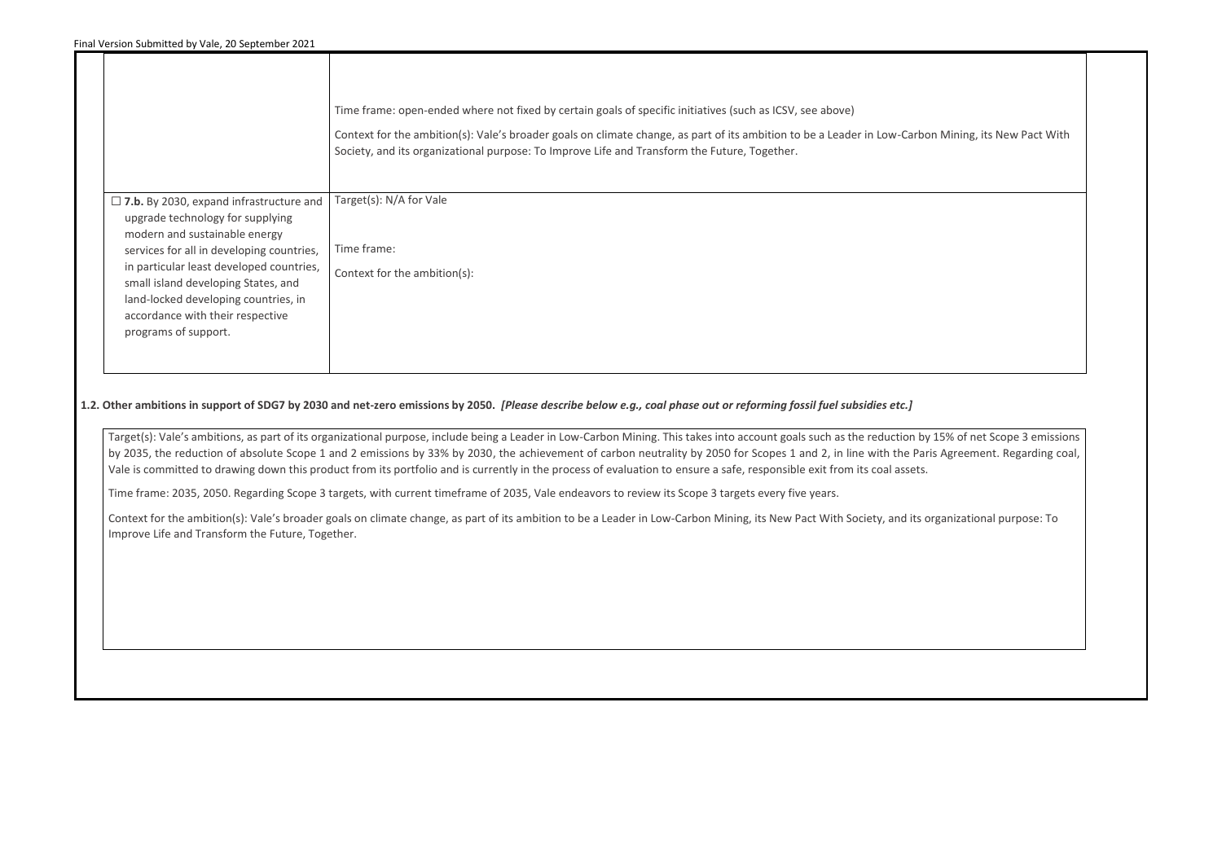|                                                                                                                                                                                     | Time frame: open-ended where not fixed by certain goals of specific initiatives (such as ICSV, see above)<br>Context for the ambition(s): Vale's broader goals on climate change, as part of its ambition to be a Leader in Low-Carb<br>Society, and its organizational purpose: To Improve Life and Transform the Future, Together. |
|-------------------------------------------------------------------------------------------------------------------------------------------------------------------------------------|--------------------------------------------------------------------------------------------------------------------------------------------------------------------------------------------------------------------------------------------------------------------------------------------------------------------------------------|
| $\Box$ 7.b. By 2030, expand infrastructure and<br>upgrade technology for supplying<br>modern and sustainable energy                                                                 | Target(s): N/A for Vale                                                                                                                                                                                                                                                                                                              |
| services for all in developing countries,                                                                                                                                           | Time frame:                                                                                                                                                                                                                                                                                                                          |
| in particular least developed countries,<br>small island developing States, and<br>land-locked developing countries, in<br>accordance with their respective<br>programs of support. | Context for the ambition(s):                                                                                                                                                                                                                                                                                                         |
|                                                                                                                                                                                     |                                                                                                                                                                                                                                                                                                                                      |

Target(s): Vale's ambitions, as part of its organizational purpose, include being a Leader in Low-Carbon Mining. This takes into account goals such as the reduction by 15% of net Scope 3 emissions by 2035, the reduction of absolute Scope 1 and 2 emissions by 33% by 2030, the achievement of carbon neutrality by 2050 for Scopes 1 and 2, in line with the Paris Agreement. Regarding coal, Vale is committed to drawing down this product from its portfolio and is currently in the process of evaluation to ensure a safe, responsible exit from its coal assets.

# **1.2. Other ambitions in support of SDG7 by 2030 and net-zero emissions by 2050.** *[Please describe below e.g., coal phase out or reforming fossil fuel subsidies etc.]*

Time frame: 2035, 2050. Regarding Scope 3 targets, with current timeframe of 2035, Vale endeavors to review its Scope 3 targets every five years.

Context for the ambition(s): Vale's broader goals on climate change, as part of its ambition to be a Leader in Low-Carbon Mining, its New Pact With Society, and its organizational purpose: To Improve Life and Transform the Future, Together.

oon Mining, its New Pact With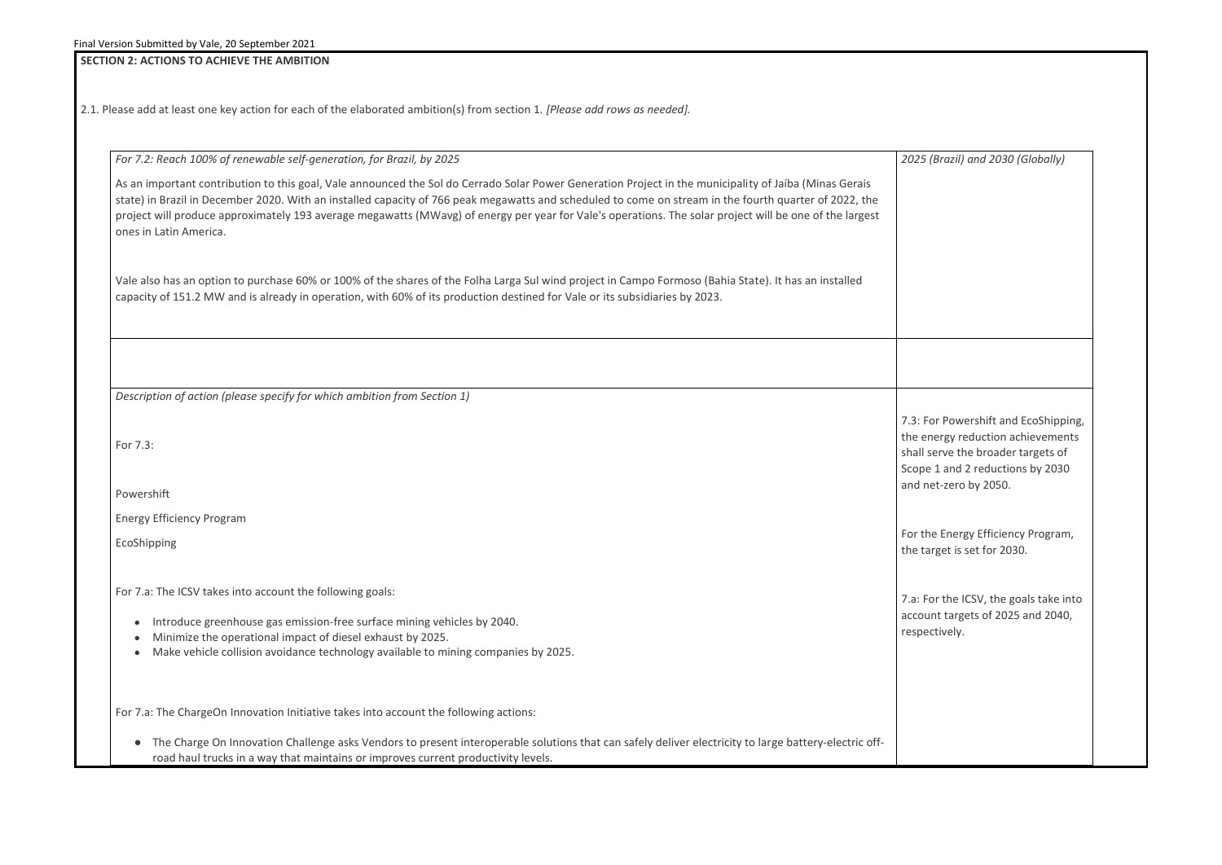# **SECTION 2: ACTIONS TO ACHIEVE THE AMBITION**

2.1. Please add at least one key action for each of the elaborated ambition(s) from section 1. *[Please add rows as needed].*

*2025 (Brazil) and 2030 (Globally)* For Powershift and EcoShipping, energy reduction achievements I serve the broader targets of oe 1 and 2 reductions by 2030 net-zero by 2050. the Energy Efficiency Program, target is set for 2030. For the ICSV, the goals take into bunt targets of 2025 and 2040, ectively.

| For 7.2: Reach 100% of renewable self-generation, for Brazil, by 2025                                                                                                                                                                                                                                                                                                                                                                                                                                 | 2025                                    |
|-------------------------------------------------------------------------------------------------------------------------------------------------------------------------------------------------------------------------------------------------------------------------------------------------------------------------------------------------------------------------------------------------------------------------------------------------------------------------------------------------------|-----------------------------------------|
| As an important contribution to this goal, Vale announced the Sol do Cerrado Solar Power Generation Project in the municipality of Jaíba (Minas Gerais<br>state) in Brazil in December 2020. With an installed capacity of 766 peak megawatts and scheduled to come on stream in the fourth quarter of 2022, the<br>project will produce approximately 193 average megawatts (MWavg) of energy per year for Vale's operations. The solar project will be one of the largest<br>ones in Latin America. |                                         |
| Vale also has an option to purchase 60% or 100% of the shares of the Folha Larga Sul wind project in Campo Formoso (Bahia State). It has an installed<br>capacity of 151.2 MW and is already in operation, with 60% of its production destined for Vale or its subsidiaries by 2023.                                                                                                                                                                                                                  |                                         |
|                                                                                                                                                                                                                                                                                                                                                                                                                                                                                                       |                                         |
| Description of action (please specify for which ambition from Section 1)                                                                                                                                                                                                                                                                                                                                                                                                                              |                                         |
| For 7.3:                                                                                                                                                                                                                                                                                                                                                                                                                                                                                              | 7.3:<br>the $\epsilon$<br>shall<br>Scop |
| Powershift                                                                                                                                                                                                                                                                                                                                                                                                                                                                                            | and i                                   |
| <b>Energy Efficiency Program</b>                                                                                                                                                                                                                                                                                                                                                                                                                                                                      |                                         |
| EcoShipping                                                                                                                                                                                                                                                                                                                                                                                                                                                                                           | For t<br>the t                          |
| For 7.a: The ICSV takes into account the following goals:                                                                                                                                                                                                                                                                                                                                                                                                                                             | 7.a:1                                   |
| Introduce greenhouse gas emission-free surface mining vehicles by 2040.<br>Minimize the operational impact of diesel exhaust by 2025.<br>Make vehicle collision avoidance technology available to mining companies by 2025.                                                                                                                                                                                                                                                                           | acco<br>resp                            |
| For 7.a: The ChargeOn Innovation Initiative takes into account the following actions:                                                                                                                                                                                                                                                                                                                                                                                                                 |                                         |
| The Charge On Innovation Challenge asks Vendors to present interoperable solutions that can safely deliver electricity to large battery-electric off-<br>road haul trucks in a way that maintains or improves current productivity levels.                                                                                                                                                                                                                                                            |                                         |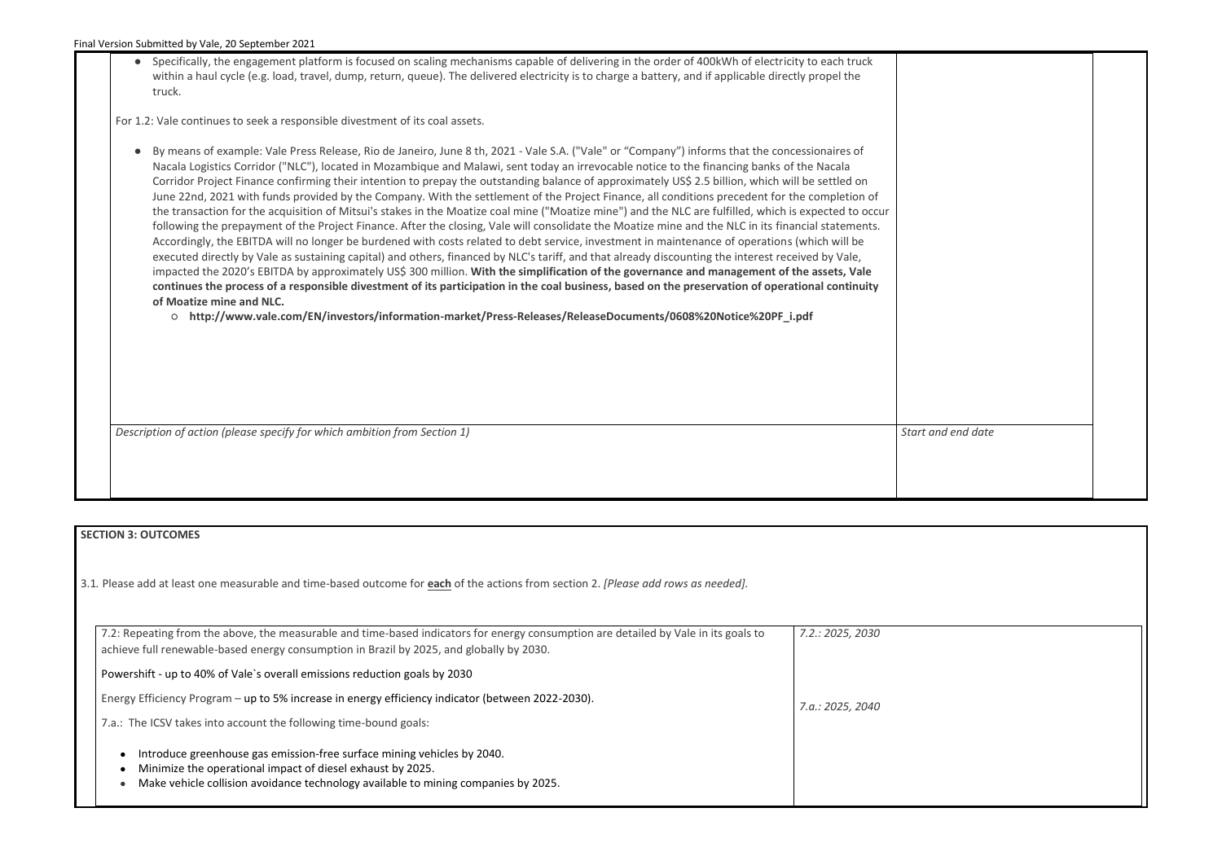● Specifically, the engagement platform is focused on scaling mechanisms capable of delivering in the order of 400kWh of electricity to each truck within a haul cycle (e.g. load, travel, dump, return, queue). The delivered electricity is to charge a battery, and if applicable directly propel the truck.

For 1.2: Vale continues to seek a responsible divestment of its coal assets.

● By means of example: Vale Press Release, Rio de Janeiro, June 8 th, 2021 - Vale S.A. ("Vale" or "Company") informs that the concessionaires of Nacala Logistics Corridor ("NLC"), located in Mozambique and Malawi, sent today an irrevocable notice to the financing banks of the Nacala Corridor Project Finance confirming their intention to prepay the outstanding balance of approximately US\$ 2.5 billion, which will be settled on June 22nd, 2021 with funds provided by the Company. With the settlement of the Project Finance, all conditions precedent for the completion of the transaction for the acquisition of Mitsui's stakes in the Moatize coal mine ("Moatize mine") and the NLC are fulfilled, which is expected to occur following the prepayment of the Project Finance. After the closing, Vale will consolidate the Moatize mine and the NLC in its financial statements. Accordingly, the EBITDA will no longer be burdened with costs related to debt service, investment in maintenance of operations (which will be executed directly by Vale as sustaining capital) and others, financed by NLC's tariff, and that already discounting the interest received by Vale, impacted the 2020's EBITDA by approximately US\$ 300 million. **With the simplification of the governance and management of the assets, Vale continues the process of a responsible divestment of its participation in the coal business, based on the preservation of operational continuity of Moatize mine and NLC.**

○ **http://www.vale.com/EN/investors/information-market/Press-Releases/ReleaseDocuments/0608%20Notice%20PF\_i.pdf**

*Description of action (please specify for which ambition from Section 1)* **Start and data and data and data and data and data and data and data and data and data and data and data and data and data and data and data and d** 

#### **SECTION 3: OUTCOMES**

3.1*.* Please add at least one measurable and time-based outcome for **each** of the actions from section 2. *[Please add rows as needed].*

| 7.2: Repeating from the above, the measurable and time-based indicators for energy consumption are detailed by Vale in its goals to<br>achieve full renewable-based energy consumption in Brazil by 2025, and globally by 2030. | 7.2.: 2025, 2030 |
|---------------------------------------------------------------------------------------------------------------------------------------------------------------------------------------------------------------------------------|------------------|
| Powershift - up to 40% of Vale's overall emissions reduction goals by 2030                                                                                                                                                      |                  |
| Energy Efficiency Program - up to 5% increase in energy efficiency indicator (between 2022-2030).                                                                                                                               | 7.a.: 2025, 2040 |
| 7.a.: The ICSV takes into account the following time-bound goals:                                                                                                                                                               |                  |
| Introduce greenhouse gas emission-free surface mining vehicles by 2040.<br>Minimize the operational impact of diesel exhaust by 2025.<br>Make vehicle collision avoidance technology available to mining companies by 2025.     |                  |

| t and end date |  |
|----------------|--|
|                |  |
|                |  |
|                |  |
|                |  |
|                |  |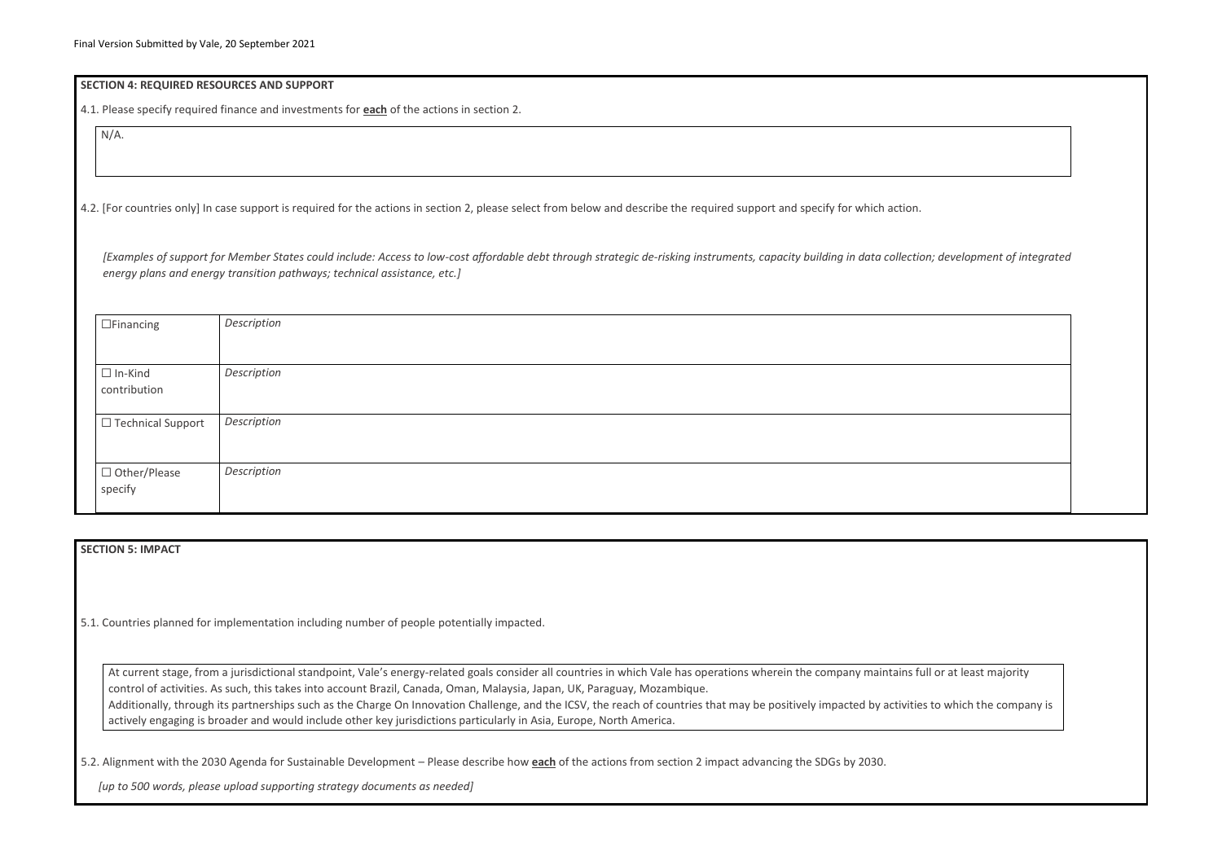#### **SECTION 4: REQUIRED RESOURCES AND SUPPORT**

4.1. Please specify required finance and investments for **each** of the actions in section 2.

N/A.

4.2. [For countries only] In case support is required for the actions in section 2, please select from below and describe the required support and specify for which action.

*[Examples of support for Member States could include: Access to low-cost affordable debt through strategic de-risking instruments, capacity building in data collection; development of integrated energy plans and energy transition pathways; technical assistance, etc.]*

| $\Box$ Financing    | Description |
|---------------------|-------------|
|                     |             |
| $\Box$ In-Kind      | Description |
| contribution        |             |
|                     |             |
| □ Technical Support | Description |
|                     |             |
|                     |             |
| □ Other/Please      | Description |
| specify             |             |
|                     |             |

At current stage, from a jurisdictional standpoint, Vale's energy-related goals consider all countries in which Vale has operations wherein the company maintains full or at least majority control of activities. As such, this takes into account Brazil, Canada, Oman, Malaysia, Japan, UK, Paraguay, Mozambique. Additionally, through its partnerships such as the Charge On Innovation Challenge, and the ICSV, the reach of countries that may be positively impacted by activities to which the company is actively engaging is broader and would include other key jurisdictions particularly in Asia, Europe, North America.

## **SECTION 5: IMPACT**

5.1. Countries planned for implementation including number of people potentially impacted.

5.2. Alignment with the 2030 Agenda for Sustainable Development – Please describe how **each** of the actions from section 2 impact advancing the SDGs by 2030.

*[up to 500 words, please upload supporting strategy documents as needed]* 

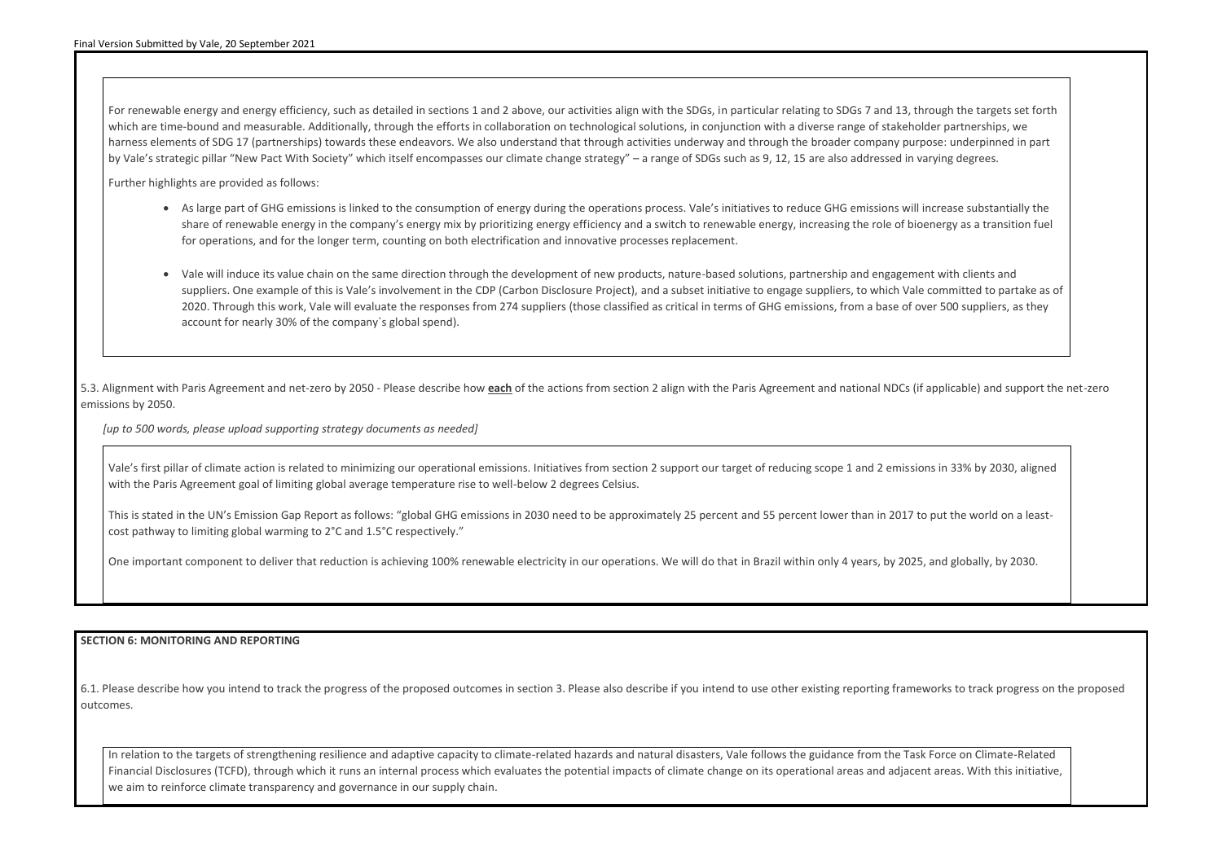For renewable energy and energy efficiency, such as detailed in sections 1 and 2 above, our activities align with the SDGs, in particular relating to SDGs 7 and 13, through the targets set forth which are time-bound and measurable. Additionally, through the efforts in collaboration on technological solutions, in conjunction with a diverse range of stakeholder partnerships, we harness elements of SDG 17 (partnerships) towards these endeavors. We also understand that through activities underway and through the broader company purpose: underpinned in part by Vale's strategic pillar "New Pact With Society" which itself encompasses our climate change strategy" – a range of SDGs such as 9, 12, 15 are also addressed in varying degrees.

Further highlights are provided as follows:

- As large part of GHG emissions is linked to the consumption of energy during the operations process. Vale's initiatives to reduce GHG emissions will increase substantially the share of renewable energy in the company's energy mix by prioritizing energy efficiency and a switch to renewable energy, increasing the role of bioenergy as a transition fuel for operations, and for the longer term, counting on both electrification and innovative processes replacement.
- Vale will induce its value chain on the same direction through the development of new products, nature-based solutions, partnership and engagement with clients and suppliers. One example of this is Vale's involvement in the CDP (Carbon Disclosure Project), and a subset initiative to engage suppliers, to which Vale committed to partake as of 2020. Through this work, Vale will evaluate the responses from 274 suppliers (those classified as critical in terms of GHG emissions, from a base of over 500 suppliers, as they account for nearly 30% of the company`s global spend).

5.3. Alignment with Paris Agreement and net-zero by 2050 - Please describe how **each** of the actions from section 2 align with the Paris Agreement and national NDCs (if applicable) and support the net-zero emissions by 2050.

*[up to 500 words, please upload supporting strategy documents as needed]* 

Vale's first pillar of climate action is related to minimizing our operational emissions. Initiatives from section 2 support our target of reducing scope 1 and 2 emissions in 33% by 2030, aligned with the Paris Agreement goal of limiting global average temperature rise to well-below 2 degrees Celsius.

This is stated in the UN's Emission Gap Report as follows: "global GHG emissions in 2030 need to be approximately 25 percent and 55 percent lower than in 2017 to put the world on a leastcost pathway to limiting global warming to 2°C and 1.5°C respectively."

One important component to deliver that reduction is achieving 100% renewable electricity in our operations. We will do that in Brazil within only 4 years, by 2025, and globally, by 2030.

## **SECTION 6: MONITORING AND REPORTING**

6.1. Please describe how you intend to track the progress of the proposed outcomes in section 3. Please also describe if you intend to use other existing reporting frameworks to track progress on the proposed outcomes.

In relation to the targets of strengthening resilience and adaptive capacity to climate-related hazards and natural disasters, Vale follows the guidance from the Task Force on Climate-Related Financial Disclosures (TCFD), through which it runs an internal process which evaluates the potential impacts of climate change on its operational areas and adjacent areas. With this initiative, we aim to reinforce climate transparency and governance in our supply chain.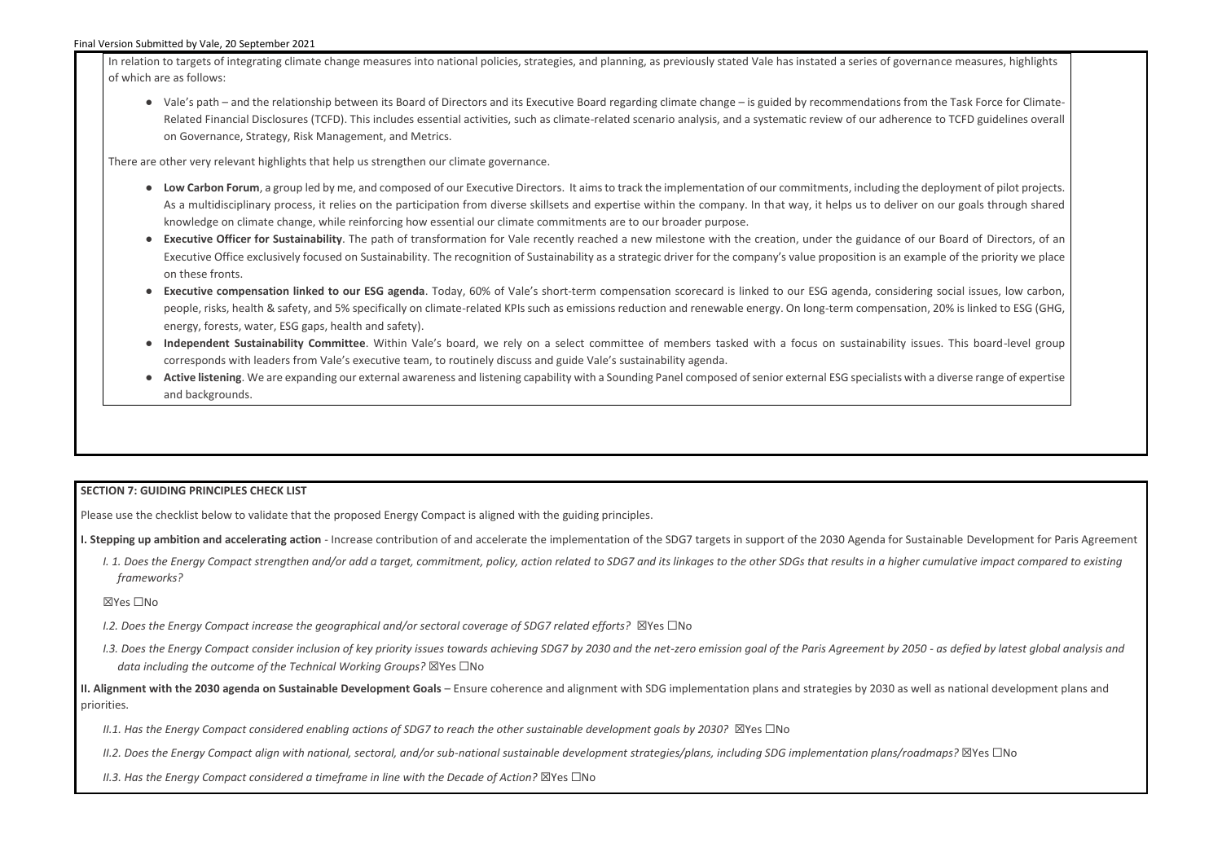In relation to targets of integrating climate change measures into national policies, strategies, and planning, as previously stated Vale has instated a series of gover of which are as follows:

● Vale's path – and the relationship between its Board of Directors and its Executive Board regarding climate change – is guided by recommendations from Related Financial Disclosures (TCFD). This includes essential activities, such as climate-related scenario analysis, and a systematic review of our adherence on Governance, Strategy, Risk Management, and Metrics.

There are other very relevant highlights that help us strengthen our climate governance.

- Low Carbon Forum, a group led by me, and composed of our Executive Directors. It aims to track the implementation of our commitments, including the As a multidisciplinary process, it relies on the participation from diverse skillsets and expertise within the company. In that way, it helps us to deliver knowledge on climate change, while reinforcing how essential our climate commitments are to our broader purpose.
- Executive Officer for Sustainability. The path of transformation for Vale recently reached a new milestone with the creation, under the guidance of o Executive Office exclusively focused on Sustainability. The recognition of Sustainability as a strategic driver for the company's value proposition is an exa on these fronts.
- **Executive compensation linked to our ESG agenda**. Today, 60% of Vale's short-term compensation scorecard is linked to our ESG agenda, consideri people, risks, health & safety, and 5% specifically on climate-related KPIs such as emissions reduction and renewable energy. On long-term compensatio energy, forests, water, ESG gaps, health and safety).
- Independent Sustainability Committee. Within Vale's board, we rely on a select committee of members tasked with a focus on sustainability iss corresponds with leaders from Vale's executive team, to routinely discuss and guide Vale's sustainability agenda.
- **Active listening**. We are expanding our external awareness and listening capability with a Sounding Panel composed of senior external ESG specialists with and backgrounds.

- *I.2. Does the Energy Compact increase the geographical and/or sectoral coverage of SDG7 related efforts?* ⊠Yes □No
- 1.3. Does the Energy Compact consider inclusion of key priority issues towards achieving SDG7 by 2030 and the net-zero emission goal of the Paris Agreement by 2050 as defied by latest global analysis and *data including the outcome of the Technical Working Groups?* ☒Yes ☐No

## **SECTION 7: GUIDING PRINCIPLES CHECK LIST**

Please use the checklist below to validate that the proposed Energy Compact is aligned with the guiding principles.

- **I. Stepping up ambition and accelerating action** Increase contribution of and accelerate the implementation of the SDG7 targets in support of the 2030 Agenda for Sustainable Development for Paris Agreement
	- I. 1. Does the Energy Compact strengthen and/or add a target, commitment, policy, action related to SDG7 and its linkages to the other SDGs that results in a higher cumulative impact compared to existing *frameworks?*

#### ☒Yes ☐No

**II. Alignment with the 2030 agenda on Sustainable Development Goals** – Ensure coherence and alignment with SDG implementation plans and strategies by 2030 as well as national development plans and priorities.

*II.1. Has the Energy Compact considered enabling actions of SDG7 to reach the other sustainable development goals by 2030?* ⊠Yes □No

*II.2. Does the Energy Compact align with national, sectoral, and/or sub-national sustainable development strategies/plans, including SDG implementation plans/roadmaps?* ☒Yes ☐No

*II.3. Has the Energy Compact considered a timeframe in line with the Decade of Action?* ⊠Yes □No

| nance measures, highlights                                     |  |
|----------------------------------------------------------------|--|
| n the Task Force for Climate-<br>ce to TCFD guidelines overall |  |
|                                                                |  |
| deployment of pilot projects.                                  |  |
| on our goals through shared                                    |  |
| our Board of Directors, of an<br>mple of the priority we place |  |
| ng social issues, low carbon,<br>n, 20% is linked to ESG (GHG, |  |
| ues. This board-level group                                    |  |
| h a diverse range of expertise                                 |  |
|                                                                |  |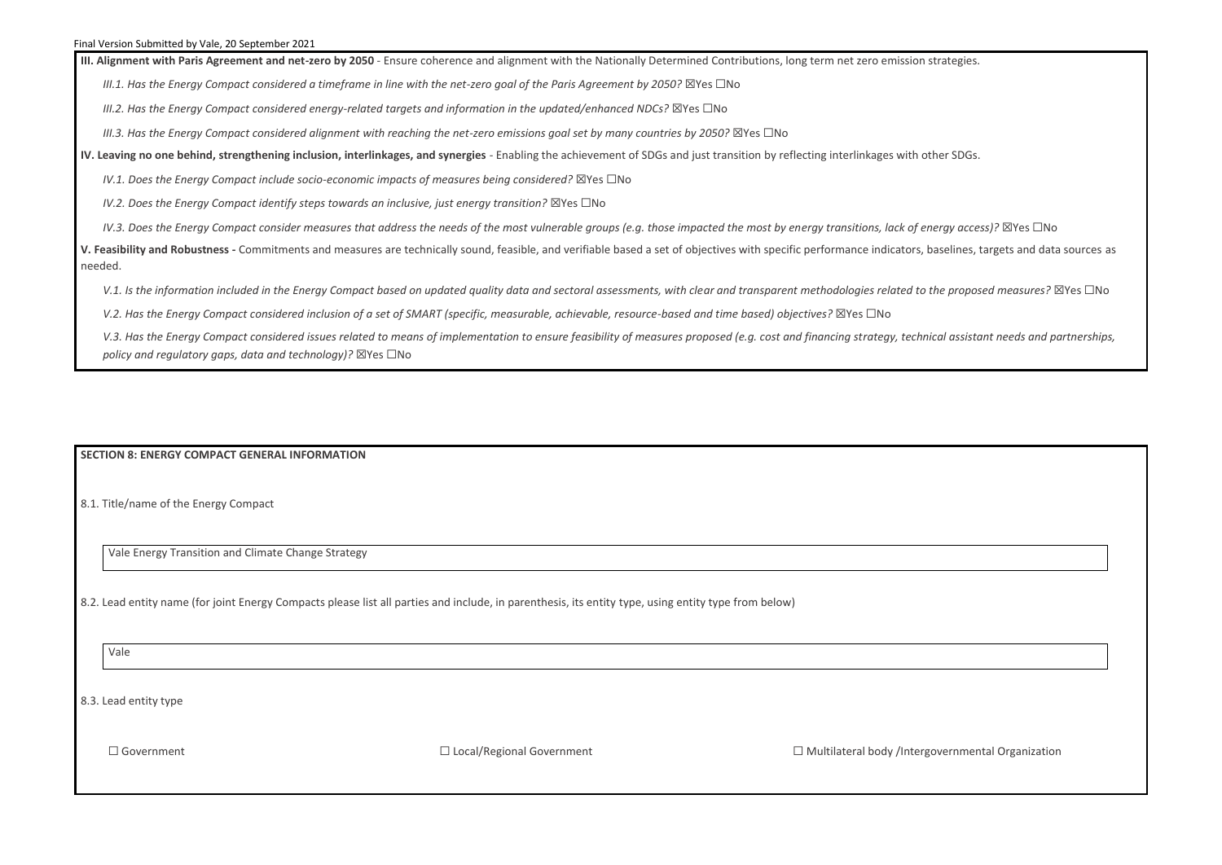**III. Alignment with Paris Agreement and net-zero by 2050** - Ensure coherence and alignment with the Nationally Determined Contributions, long term net zero emission strategies.

*III.1. Has the Energy Compact considered a timeframe in line with the net-zero goal of the Paris Agreement by 2050?* ⊠Yes □No

*III.2. Has the Energy Compact considered energy-related targets and information in the updated/enhanced NDCs?* ⊠Yes □No

*III.3. Has the Energy Compact considered alignment with reaching the net-zero emissions goal set by many countries by 2050?* ⊠Yes □No

**IV. Leaving no one behind, strengthening inclusion, interlinkages, and synergies** - Enabling the achievement of SDGs and just transition by reflecting interlinkages with other SDGs.

*IV.1. Does the Energy Compact include socio-economic impacts of measures being considered?* ⊠Yes □No

*IV.2. Does the Energy Compact identify steps towards an inclusive, just energy transition?* ⊠Yes □No

*IV.3. Does the Energy Compact consider measures that address the needs of the most vulnerable groups (e.g. those impacted the most by energy transitions, lack of energy access)?* ⊠Yes □No

**V. Feasibility and Robustness -** Commitments and measures are technically sound, feasible, and verifiable based a set of objectives with specific performance indicators, baselines, targets and data sources as needed.

V.1. Is the information included in the Energy Compact based on updated quality data and sectoral assessments, with clear and transparent methodologies related to the proposed measures? ⊠Yes □No

*V.2. Has the Energy Compact considered inclusion of a set of SMART (specific, measurable, achievable, resource-based and time based) objectives?* ⊠Yes □No

V.3. Has the Energy Compact considered issues related to means of implementation to ensure feasibility of measures proposed (e.g. cost and financing strategy, technical assistant needs and partnerships, *policy and regulatory gaps, data and technology)?* ⊠Yes □No

#### **SECTION 8: ENERGY COMPACT GENERAL INFORMATION**

8.1. Title/name of the Energy Compact

Vale Energy Transition and Climate Change Strategy

8.2. Lead entity name (for joint Energy Compacts please list all parties and include, in parenthesis, its entity type, using entity type from below)

Vale

8.3. Lead entity type

☐ Government ☐ Local/Regional Government ☐ Multilateral body /Intergovernmental Organization

| governmental Organization |  |
|---------------------------|--|